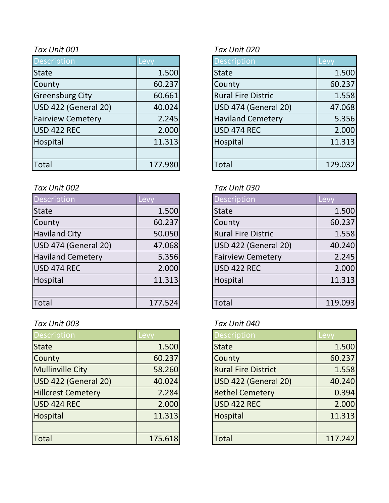| <b>Description</b>       | Levy    | <b>Description</b>        | Levy    |
|--------------------------|---------|---------------------------|---------|
| <b>State</b>             | 1.500   | <b>State</b>              | 1.500   |
| County                   | 60.237  | County                    | 60.237  |
| <b>Greensburg City</b>   | 60.661  | <b>Rural Fire Distric</b> | 1.558   |
| USD 422 (General 20)     | 40.024  | USD 474 (General 20)      | 47.068  |
| <b>Fairview Cemetery</b> | 2.245   | <b>Haviland Cemetery</b>  | 5.356   |
| USD 422 REC              | 2.000   | USD 474 REC               | 2.000   |
| Hospital                 | 11.313  | Hospital                  | 11.313  |
|                          |         |                           |         |
| Total                    | 177.980 | <b>Total</b>              | 129.032 |

### *Tax Unit 002 Tax Unit 030*

| <b>Description</b>       | Levy    | <b>Description</b>        | Levy    |
|--------------------------|---------|---------------------------|---------|
| State                    | 1.500   | <b>State</b>              | 1.500   |
| County                   | 60.237  | County                    | 60.237  |
| <b>Haviland City</b>     | 50.050  | <b>Rural Fire Distric</b> | 1.558   |
| USD 474 (General 20)     | 47.068  | USD 422 (General 20)      | 40.240  |
| <b>Haviland Cemetery</b> | 5.356   | <b>Fairview Cemetery</b>  | 2.245   |
| USD 474 REC              | 2.000   | <b>USD 422 REC</b>        | 2.000   |
| Hospital                 | 11.313  | Hospital                  | 11.313  |
|                          |         |                           |         |
| Total                    | 177.524 | <b>Total</b>              | 119.093 |

# *Tax Unit 003 Tax Unit 040*

| <b>Description</b>        | Levy    | <b>Description</b>         | <b>Levy</b> |
|---------------------------|---------|----------------------------|-------------|
| <b>State</b>              | 1.500   | <b>State</b>               | 1.500       |
| County                    | 60.237  | County                     | 60.237      |
| <b>Mullinville City</b>   | 58.260  | <b>Rural Fire District</b> | 1.558       |
| USD 422 (General 20)      | 40.024  | USD 422 (General 20)       | 40.240      |
| <b>Hillcrest Cemetery</b> | 2.284   | <b>Bethel Cemetery</b>     | 0.394       |
| USD 424 REC               | 2.000   | <b>USD 422 REC</b>         | 2.000       |
| Hospital                  | 11.313  | Hospital                   | 11.313      |
|                           |         |                            |             |
| Total                     | 175.618 | <b>Total</b>               | 117.242     |

# *Tax Unit 001 Tax Unit 020*

| Description                 | Levy    |
|-----------------------------|---------|
| <b>State</b>                | 1.500   |
| County                      | 60.237  |
| <b>Rural Fire Distric</b>   | 1.558   |
| <b>USD 474 (General 20)</b> | 47.068  |
| <b>Haviland Cemetery</b>    | 5.356   |
| <b>USD 474 REC</b>          | 2.000   |
| Hospital                    | 11.313  |
|                             |         |
| <b>Total</b>                | 129.032 |

| <b>Description</b>        | <u>Lev</u> |
|---------------------------|------------|
| <b>State</b>              | 1.500      |
| County                    | 60.237     |
| <b>Rural Fire Distric</b> | 1.558      |
| USD 422 (General 20)      | 40.240     |
| <b>Fairview Cemetery</b>  | 2.245      |
| USD 422 REC               | 2.000      |
| Hospital                  | 11.313     |
|                           |            |
| Total                     | 119.093    |

| <b>Description</b>         | Levv    |
|----------------------------|---------|
| <b>State</b>               | 1.500   |
| County                     | 60.237  |
| <b>Rural Fire District</b> | 1.558   |
| USD 422 (General 20)       | 40.240  |
| <b>Bethel Cemetery</b>     | 0.394   |
| <b>USD 422 REC</b>         | 2.000   |
| Hospital                   | 11.313  |
|                            |         |
| <b>Total</b>               | 117.242 |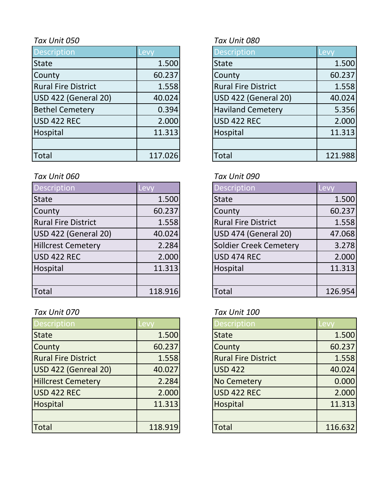| <b>Description</b>         | Levy    | <b>Description</b>         | Levy    |
|----------------------------|---------|----------------------------|---------|
| <b>State</b>               | 1.500   | <b>State</b>               | 1.500   |
| County                     | 60.237  | County                     | 60.237  |
| <b>Rural Fire District</b> | 1.558   | <b>Rural Fire District</b> | 1.558   |
| USD 422 (General 20)       | 40.024  | USD 422 (General 20)       | 40.024  |
| <b>Bethel Cemetery</b>     | 0.394   | <b>Haviland Cemetery</b>   | 5.356   |
| USD 422 REC                | 2.000   | <b>USD 422 REC</b>         | 2.000   |
| Hospital                   | 11.313  | Hospital                   | 11.313  |
|                            |         |                            |         |
| <b>Total</b>               | 117.026 | <b>Total</b>               | 121.988 |

# *Tax Unit 060 Tax Unit 090*

| Description                | Levy    | <b>Description</b>         | Levy    |
|----------------------------|---------|----------------------------|---------|
| <b>State</b>               | 1.500   | <b>State</b>               | 1.500   |
| County                     | 60.237  | County                     | 60.237  |
| <b>Rural Fire District</b> | 1.558   | <b>Rural Fire District</b> | 1.558   |
| USD 422 (General 20)       | 40.024  | USD 474 (General 20)       | 47.068  |
| <b>Hillcrest Cemetery</b>  | 2.284   | Soldier Creek Cemetery     | 3.278   |
| USD 422 REC                | 2.000   | <b>USD 474 REC</b>         | 2.000   |
| Hospital                   | 11.313  | Hospital                   | 11.313  |
|                            |         |                            |         |
| <b>Total</b>               | 118.916 | Total                      | 126.954 |

# *Tax Unit 070 Tax Unit 100*

| <b>Description</b>         | Levy    | <b>Description</b>         | Levy    |
|----------------------------|---------|----------------------------|---------|
| <b>State</b>               | 1.500   | <b>State</b>               | 1.500   |
| County                     | 60.237  | County                     | 60.237  |
| <b>Rural Fire District</b> | 1.558   | <b>Rural Fire District</b> | 1.558   |
| USD 422 (Genreal 20)       | 40.027  | <b>USD 422</b>             | 40.024  |
| <b>Hillcrest Cemetery</b>  | 2.284   | <b>No Cemetery</b>         | 0.000   |
| USD 422 REC                | 2.000   | <b>USD 422 REC</b>         | 2.000   |
| Hospital                   | 11.313  | Hospital                   | 11.313  |
|                            |         |                            |         |
| Total                      | 118.919 | <b>Total</b>               | 116.632 |

# *Tax Unit 050 Tax Unit 080*

| <b>Description</b>          | Levy    |
|-----------------------------|---------|
| <b>State</b>                | 1.500   |
| County                      | 60.237  |
| <b>Rural Fire District</b>  | 1.558   |
| <b>USD 422 (General 20)</b> | 40.024  |
| <b>Haviland Cemetery</b>    | 5.356   |
| <b>USD 422 REC</b>          | 2.000   |
| Hospital                    | 11.313  |
|                             |         |
| `otal                       | 121.988 |

| <b>Description</b>            | Levy    |
|-------------------------------|---------|
| <b>State</b>                  | 1.500   |
| County                        | 60.237  |
| <b>Rural Fire District</b>    | 1.558   |
| USD 474 (General 20)          | 47.068  |
| <b>Soldier Creek Cemetery</b> | 3.278   |
| <b>USD 474 REC</b>            | 2.000   |
| Hospital                      | 11.313  |
|                               |         |
| Total                         | 126.954 |

| <b>Description</b>         | Levv    |
|----------------------------|---------|
| <b>State</b>               | 1.500   |
| County                     | 60.237  |
| <b>Rural Fire District</b> | 1.558   |
| <b>USD 422</b>             | 40.024  |
| <b>No Cemetery</b>         | 0.000   |
| <b>USD 422 REC</b>         | 2.000   |
| Hospital                   | 11.313  |
|                            |         |
| Total                      | 116.632 |